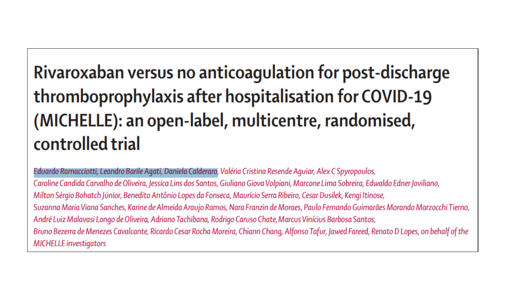## Rivaroxaban versus no anticoagulation for post-discharge thromboprophylaxis after hospitalisation for COVID-19 (MICHELLE): an open-label, multicentre, randomised, controlled trial

Eduardo Ramacciotti, Leandro Barile Agati, Daniela Calderaro, Valéria Cristina Resende Aguiar, Alex C Spyropoulos, Caroline Candida Carvalho de Oliveira, Jessica Lins dos Santos, Giuliano Giova Volpiani, Marcone Lima Sobreira, Edwaldo Edner Joviliano, Milton Sérgio Bohatch Júnior, Benedito Antônio Lopes da Fonseca, Maurício Serra Ribeiro, Cesar Dusilek, Kengi Itinose, Suzanna Maria Viana Sanches, Karine de Almeida Araujo Ramos, Nara Franzin de Moraes, Paulo Fernando Guimarães Morando Marzocchi Tierno, André Luiz Malavasi Longo de Oliveira, Adriano Tachibana, Rodrigo Caruso Chate, Marcus Vinícius Barbosa Santos, Bruno Bezerra de Menezes Cavalcante, Ricardo Cesar Rocha Moreira, Chiann Chang, Alfonso Tafur, Jawed Fareed, Renato D Lopes, on behalf of the **MICHELLE** investigators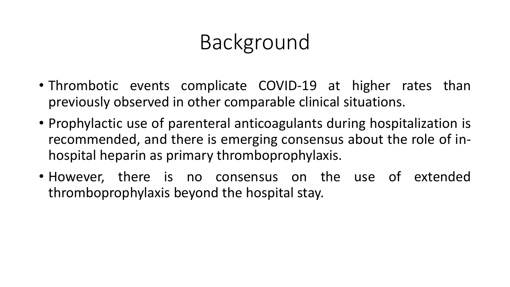# Background

- Thrombotic events complicate COVID-19 at higher rates than previously observed in other comparable clinical situations.
- Prophylactic use of parenteral anticoagulants during hospitalization is recommended, and there is emerging consensus about the role of inhospital heparin as primary thromboprophylaxis.
- However, there is no consensus on the use of extended thromboprophylaxis beyond the hospital stay.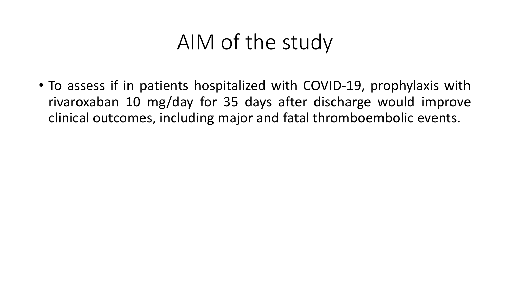### AIM of the study

• To assess if in patients hospitalized with COVID-19, prophylaxis with rivaroxaban 10 mg/day for 35 days after discharge would improve clinical outcomes, including major and fatal thromboembolic events.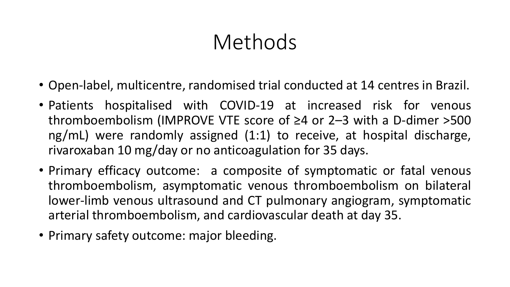# Methods

- Open-label, multicentre, randomised trial conducted at 14 centres in Brazil.
- Patients hospitalised with COVID-19 at increased risk for venous thromboembolism (IMPROVE VTE score of ≥4 or 2–3 with a D-dimer >500 ng/mL) were randomly assigned (1:1) to receive, at hospital discharge, rivaroxaban 10 mg/day or no anticoagulation for 35 days.
- Primary efficacy outcome: a composite of symptomatic or fatal venous thromboembolism, asymptomatic venous thromboembolism on bilateral lower-limb venous ultrasound and CT pulmonary angiogram, symptomatic arterial thromboembolism, and cardiovascular death at day 35.
- Primary safety outcome: major bleeding.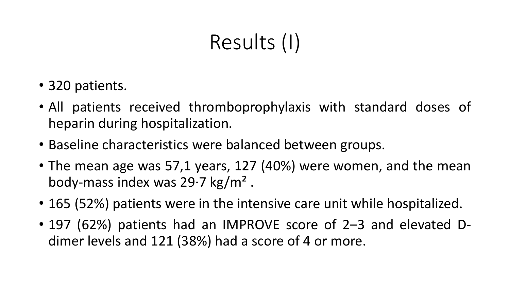# Results (I)

- 320 patients.
- All patients received thromboprophylaxis with standard doses of heparin during hospitalization.
- Baseline characteristics were balanced between groups.
- The mean age was 57,1 years, 127 (40%) were women, and the mean body-mass index was  $29.7 \text{ kg/m}^2$ .
- 165 (52%) patients were in the intensive care unit while hospitalized.
- 197 (62%) patients had an IMPROVE score of 2–3 and elevated Ddimer levels and 121 (38%) had a score of 4 or more.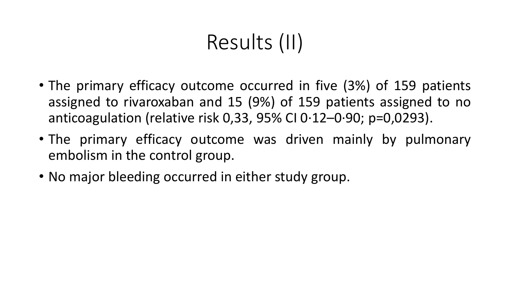# Results (II)

- The primary efficacy outcome occurred in five (3%) of 159 patients assigned to rivaroxaban and 15 (9%) of 159 patients assigned to no anticoagulation (relative risk 0,33, 95% CI 0·12–0·90; p=0,0293).
- The primary efficacy outcome was driven mainly by pulmonary embolism in the control group.
- No major bleeding occurred in either study group.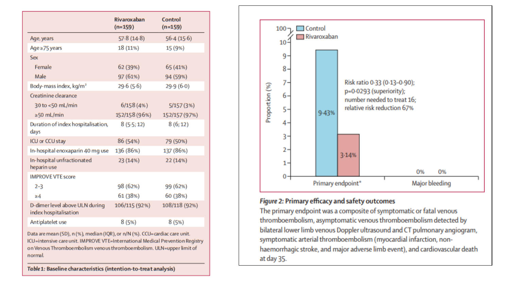|                                                                                                                                                               | Rivaroxaban<br>$(n=159)$ | Control<br>$(n=159)$ |  |
|---------------------------------------------------------------------------------------------------------------------------------------------------------------|--------------------------|----------------------|--|
| Age, years                                                                                                                                                    | 57.8(14.8)               | 56.4(15.6)           |  |
| Age ≥75 years                                                                                                                                                 | 18 (11%)                 | 15 (9%)              |  |
| Sex                                                                                                                                                           |                          |                      |  |
| Female                                                                                                                                                        | 62 (39%)                 | 65 (41%)             |  |
| Male                                                                                                                                                          | 97 (61%)                 | 94 (59%)             |  |
| Body-mass index, kg/m <sup>2</sup>                                                                                                                            | 29.6(5.6)                | 29.9(6.0)            |  |
| Creatinine clearance                                                                                                                                          |                          |                      |  |
| 30 to <50 mL/min                                                                                                                                              | 6/158(4%)                | 5/157(3%)            |  |
| $\geq$ 50 mL/min                                                                                                                                              | 152/158 (96%)            | 152/157 (97%)        |  |
| Duration of index hospitalisation,<br>days                                                                                                                    | 8(5.5; 12)               | 8(6;12)              |  |
| ICU or CCU stay                                                                                                                                               | 86 (54%)                 | 79 (50%)             |  |
| In-hospital enoxaparin 40 mg use                                                                                                                              | 136 (86%)                | 137 (86%)            |  |
| In-hospital unfractionated<br>heparin use                                                                                                                     | 23 (14%)                 | 22 (14%)             |  |
| <b>IMPROVE VTE score</b>                                                                                                                                      |                          |                      |  |
| $2 - 3$                                                                                                                                                       | 98 (62%)                 | 99 (62%)             |  |
| $\geq 4$                                                                                                                                                      | 61 (38%)                 | 60 (38%)             |  |
| D-dimer level above ULN during<br>index hospitalisation                                                                                                       | 106/115 (92%)            | 108/118 (92%)        |  |
| Antiplatelet use                                                                                                                                              | 8(5%)                    | 8(5%)                |  |
| Data are mean (SD), n (%), median (IQR), or n/N (%). CCU=cardiac care unit.<br>ICU=intensive care unit. IMPROVE VTE=International Medical Prevention Registry |                          |                      |  |

on Venous Thromboembolism venous thromboembolism. ULN=upper limit of normal.

Table 1: Baseline characteristics (intention-to-treat analysis)



#### Figure 2: Primary efficacy and safety outcomes

The primary endpoint was a composite of symptomatic or fatal venous thromboembolism, asymptomatic venous thromboembolism detected by bilateral lower limb venous Doppler ultrasound and CT pulmonary angiogram, symptomatic arterial thromboembolism (myocardial infarction, nonhaemorrhagic stroke, and major adverse limb event), and cardiovascular death at day 35.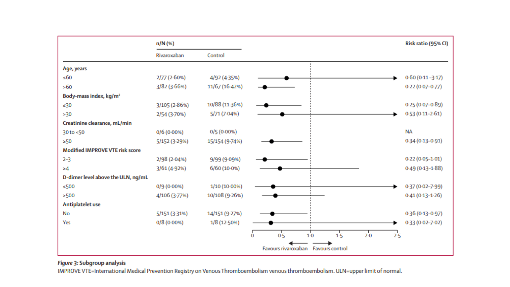|                                        | n/N (%)                             |                | Risk ratio (95% CI)                                                |
|----------------------------------------|-------------------------------------|----------------|--------------------------------------------------------------------|
|                                        | Rivaroxaban                         | Control        |                                                                    |
| Age, years                             |                                     |                |                                                                    |
| 560                                    | 2/77 (2.60%)                        | 4/92 (4-35%)   | $0.60(0.11 - 3.17)$                                                |
| >60                                    | 3/82 (3-66%)                        | 11/67 (16-42%) | $0.22(0.07 - 0.77)$                                                |
| Body-mass index, kg/m <sup>2</sup>     |                                     |                |                                                                    |
| $\leq 30$                              | 3/105 (2-86%)                       | 10/88 (11-36%) | $0.25(0.07 - 0.89)$                                                |
| >30                                    | 2/54 (3-70%)                        | 5/71 (7-04%)   | $0.53(0.11 - 2.61)$                                                |
| Creatinine clearance, mL/min           |                                     |                |                                                                    |
| 30 to <50                              | 0/6(0.00%                           | 0/5(0.00%      | <b>NA</b>                                                          |
| >50                                    | 5/152 (3-29%)                       | 15/154 (9.74%) | $0.34(0.13 - 0.91)$                                                |
| <b>Modified IMPROVE VTE risk score</b> |                                     |                |                                                                    |
| $2 - 3$                                | 2/98 (2.04%)                        | 9/99 (9.09%)   | $0.22(0.05 - 1.01)$                                                |
| $\geq 4$                               | 3/61 (4-92%)                        | $6/60(10.0\%)$ | $0.49(0.13 - 1.88)$                                                |
| D-dimer level above the ULN, ng/mL     |                                     |                |                                                                    |
| $\leq$ 500                             | 0/9(0.00%                           | 1/10 (10-00%)  | 0-37 (0-02-7-99)                                                   |
| >500                                   | 4/106 (3-77%)                       | 10/108 (9-26%) | $0.41(0.13 - 1.26)$                                                |
| Antiplatelet use                       |                                     |                |                                                                    |
| No                                     | 5/151 (3-31%)                       | 14/151 (9-27%) | $0.36(0.13 - 0.97)$                                                |
| Yes                                    | 0/8(0.00%                           | 1/8 (12-50%)   | $0.33(0.02 - 7.02)$                                                |
|                                        |                                     |                | 0.5<br>$20 - 20$<br>1 <sub>5</sub><br>$2-5$<br>1 <sub>0</sub><br>0 |
|                                        | Favours rivaroxaban Favours control |                |                                                                    |

#### Figure 3: Subgroup analysis

IMPROVE VTE=International Medical Prevention Registry on Venous Thromboembolism venous thromboembolism. ULN=upper limit of normal.